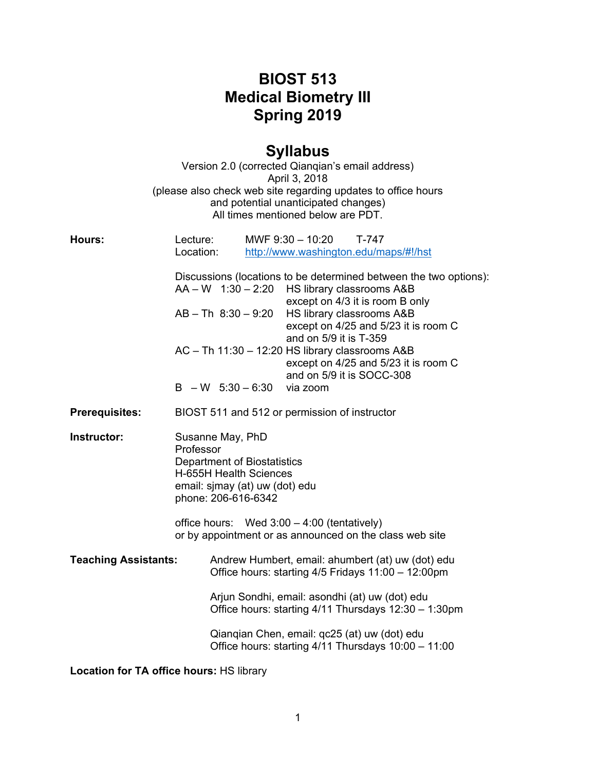## **BIOST 513 Medical Biometry III Spring 2019**

## **Syllabus**

|                             |                                              | Version 2.0 (corrected Qianqian's email address)<br>April 3, 2018<br>(please also check web site regarding updates to office hours<br>and potential unanticipated changes)<br>All times mentioned below are PDT.                                                                                                                                                                            |  |
|-----------------------------|----------------------------------------------|---------------------------------------------------------------------------------------------------------------------------------------------------------------------------------------------------------------------------------------------------------------------------------------------------------------------------------------------------------------------------------------------|--|
| Hours:                      | Lecture:<br>Location:                        | MWF 9:30 - 10:20<br>T-747<br>http://www.washington.edu/maps/#!/hst                                                                                                                                                                                                                                                                                                                          |  |
|                             | $AB - Th 8:30 - 9:20$<br>$B - W 5:30 - 6:30$ | Discussions (locations to be determined between the two options):<br>$AA - W$ 1:30 - 2:20 HS library classrooms $A&B$<br>except on 4/3 it is room B only<br>HS library classrooms A&B<br>except on 4/25 and 5/23 it is room C<br>and on 5/9 it is T-359<br>AC - Th 11:30 - 12:20 HS library classrooms A&B<br>except on 4/25 and 5/23 it is room C<br>and on 5/9 it is SOCC-308<br>via zoom |  |
| <b>Prerequisites:</b>       |                                              | BIOST 511 and 512 or permission of instructor                                                                                                                                                                                                                                                                                                                                               |  |
| <b>Instructor:</b>          | Professor                                    | Susanne May, PhD<br><b>Department of Biostatistics</b><br>H-655H Health Sciences<br>email: sjmay (at) uw (dot) edu<br>phone: 206-616-6342                                                                                                                                                                                                                                                   |  |
|                             |                                              | office hours: Wed $3:00 - 4:00$ (tentatively)<br>or by appointment or as announced on the class web site                                                                                                                                                                                                                                                                                    |  |
| <b>Teaching Assistants:</b> |                                              | Andrew Humbert, email: ahumbert (at) uw (dot) edu<br>Office hours: starting 4/5 Fridays 11:00 - 12:00pm                                                                                                                                                                                                                                                                                     |  |
|                             |                                              | Arjun Sondhi, email: asondhi (at) uw (dot) edu<br>Office hours: starting 4/11 Thursdays 12:30 - 1:30pm                                                                                                                                                                                                                                                                                      |  |
|                             |                                              | Qianqian Chen, email: qc25 (at) uw (dot) edu<br>Office hours: starting 4/11 Thursdays 10:00 - 11:00                                                                                                                                                                                                                                                                                         |  |

**Location for TA office hours:** HS library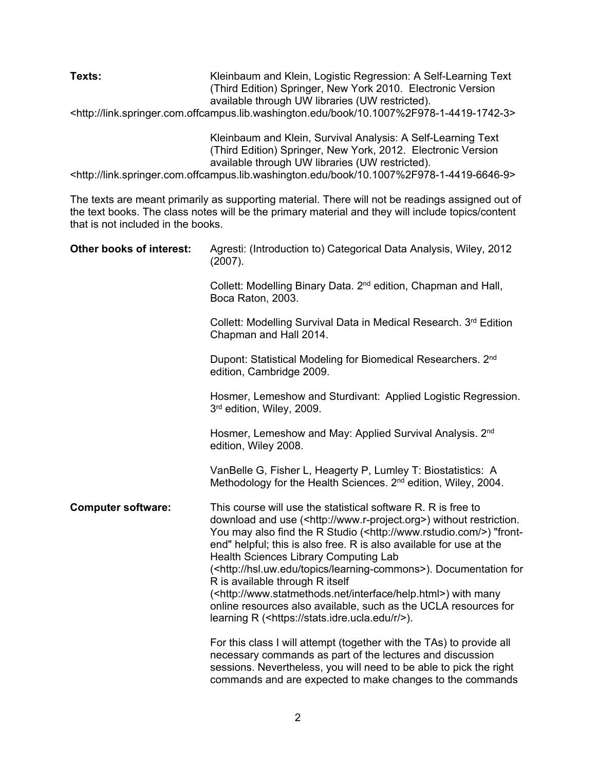**Texts:** Kleinbaum and Klein, Logistic Regression: A Self-Learning Text (Third Edition) Springer, New York 2010. Electronic Version available through UW libraries (UW restricted). <http://link.springer.com.offcampus.lib.washington.edu/book/10.1007%2F978-1-4419-1742-3>

> Kleinbaum and Klein, Survival Analysis: A Self-Learning Text (Third Edition) Springer, New York, 2012. Electronic Version available through UW libraries (UW restricted).

<http://link.springer.com.offcampus.lib.washington.edu/book/10.1007%2F978-1-4419-6646-9>

The texts are meant primarily as supporting material. There will not be readings assigned out of the text books. The class notes will be the primary material and they will include topics/content that is not included in the books.

| Other books of interest:  | Agresti: (Introduction to) Categorical Data Analysis, Wiley, 2012<br>(2007).                                                                                                                                                                                                                                                                                                                                                                                                                                                                                                                                                                                                                   |
|---------------------------|------------------------------------------------------------------------------------------------------------------------------------------------------------------------------------------------------------------------------------------------------------------------------------------------------------------------------------------------------------------------------------------------------------------------------------------------------------------------------------------------------------------------------------------------------------------------------------------------------------------------------------------------------------------------------------------------|
|                           | Collett: Modelling Binary Data. 2 <sup>nd</sup> edition, Chapman and Hall,<br>Boca Raton, 2003.                                                                                                                                                                                                                                                                                                                                                                                                                                                                                                                                                                                                |
|                           | Collett: Modelling Survival Data in Medical Research. 3rd Edition<br>Chapman and Hall 2014.                                                                                                                                                                                                                                                                                                                                                                                                                                                                                                                                                                                                    |
|                           | Dupont: Statistical Modeling for Biomedical Researchers. 2 <sup>nd</sup><br>edition, Cambridge 2009.                                                                                                                                                                                                                                                                                                                                                                                                                                                                                                                                                                                           |
|                           | Hosmer, Lemeshow and Sturdivant: Applied Logistic Regression.<br>3rd edition, Wiley, 2009.                                                                                                                                                                                                                                                                                                                                                                                                                                                                                                                                                                                                     |
|                           | Hosmer, Lemeshow and May: Applied Survival Analysis. 2 <sup>nd</sup><br>edition, Wiley 2008.                                                                                                                                                                                                                                                                                                                                                                                                                                                                                                                                                                                                   |
|                           | VanBelle G, Fisher L, Heagerty P, Lumley T: Biostatistics: A<br>Methodology for the Health Sciences. 2 <sup>nd</sup> edition, Wiley, 2004.                                                                                                                                                                                                                                                                                                                                                                                                                                                                                                                                                     |
| <b>Computer software:</b> | This course will use the statistical software R. R is free to<br>download and use ( <http: www.r-project.org="">) without restriction.<br/>You may also find the R Studio (<http: www.rstudio.com=""></http:>) "front-<br/>end" helpful; this is also free. R is also available for use at the<br/>Health Sciences Library Computing Lab<br/>(<http: hsl.uw.edu="" learning-commons="" topics="">). Documentation for<br/>R is available through R itself<br/>(<http: help.html="" interface="" www.statmethods.net="">) with many<br/>online resources also available, such as the UCLA resources for<br/>learning R (<https: r="" stats.idre.ucla.edu=""></https:>).</http:></http:></http:> |
|                           | For this class I will attempt (together with the TAs) to provide all<br>necessary commands as part of the lectures and discussion<br>sessions. Nevertheless, you will need to be able to pick the right<br>commands and are expected to make changes to the commands                                                                                                                                                                                                                                                                                                                                                                                                                           |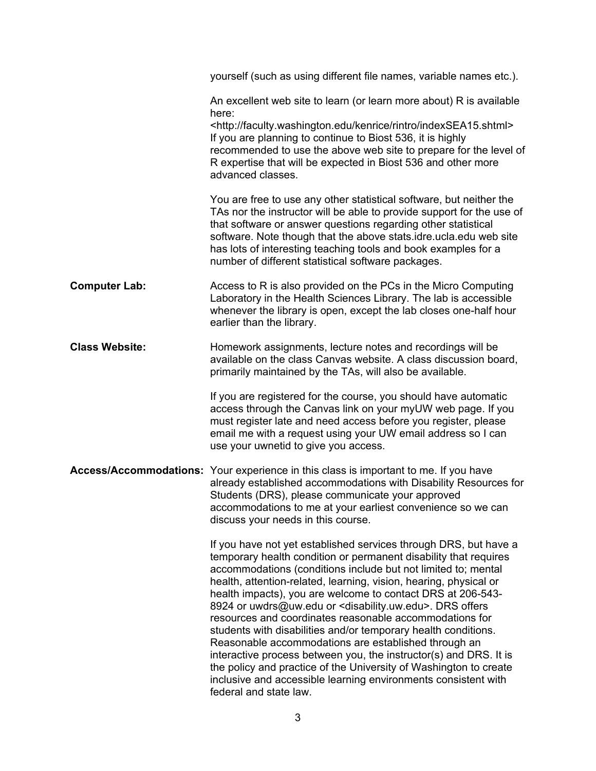|                       | yourself (such as using different file names, variable names etc.).                                                                                                                                                                                                                                                                                                                                                                                                                                                                                                                                                                                                                                                                                                                                                                                        |
|-----------------------|------------------------------------------------------------------------------------------------------------------------------------------------------------------------------------------------------------------------------------------------------------------------------------------------------------------------------------------------------------------------------------------------------------------------------------------------------------------------------------------------------------------------------------------------------------------------------------------------------------------------------------------------------------------------------------------------------------------------------------------------------------------------------------------------------------------------------------------------------------|
|                       | An excellent web site to learn (or learn more about) R is available<br>here:                                                                                                                                                                                                                                                                                                                                                                                                                                                                                                                                                                                                                                                                                                                                                                               |
|                       | <http: faculty.washington.edu="" indexsea15.shtml="" kenrice="" rintro=""><br/>If you are planning to continue to Biost 536, it is highly<br/>recommended to use the above web site to prepare for the level of<br/>R expertise that will be expected in Biost 536 and other more<br/>advanced classes.</http:>                                                                                                                                                                                                                                                                                                                                                                                                                                                                                                                                            |
|                       | You are free to use any other statistical software, but neither the<br>TAs nor the instructor will be able to provide support for the use of<br>that software or answer questions regarding other statistical<br>software. Note though that the above stats.idre.ucla.edu web site<br>has lots of interesting teaching tools and book examples for a<br>number of different statistical software packages.                                                                                                                                                                                                                                                                                                                                                                                                                                                 |
| <b>Computer Lab:</b>  | Access to R is also provided on the PCs in the Micro Computing<br>Laboratory in the Health Sciences Library. The lab is accessible<br>whenever the library is open, except the lab closes one-half hour<br>earlier than the library.                                                                                                                                                                                                                                                                                                                                                                                                                                                                                                                                                                                                                       |
| <b>Class Website:</b> | Homework assignments, lecture notes and recordings will be<br>available on the class Canvas website. A class discussion board,<br>primarily maintained by the TAs, will also be available.                                                                                                                                                                                                                                                                                                                                                                                                                                                                                                                                                                                                                                                                 |
|                       | If you are registered for the course, you should have automatic<br>access through the Canvas link on your myUW web page. If you<br>must register late and need access before you register, please<br>email me with a request using your UW email address so I can<br>use your uwnetid to give you access.                                                                                                                                                                                                                                                                                                                                                                                                                                                                                                                                                  |
|                       | Access/Accommodations: Your experience in this class is important to me. If you have<br>already established accommodations with Disability Resources for<br>Students (DRS), please communicate your approved<br>accommodations to me at your earliest convenience so we can<br>discuss your needs in this course.                                                                                                                                                                                                                                                                                                                                                                                                                                                                                                                                          |
|                       | If you have not yet established services through DRS, but have a<br>temporary health condition or permanent disability that requires<br>accommodations (conditions include but not limited to; mental<br>health, attention-related, learning, vision, hearing, physical or<br>health impacts), you are welcome to contact DRS at 206-543-<br>8924 or uwdrs@uw.edu or <disability.uw.edu>. DRS offers<br/>resources and coordinates reasonable accommodations for<br/>students with disabilities and/or temporary health conditions.<br/>Reasonable accommodations are established through an<br/>interactive process between you, the instructor(s) and DRS. It is<br/>the policy and practice of the University of Washington to create<br/>inclusive and accessible learning environments consistent with<br/>federal and state law.</disability.uw.edu> |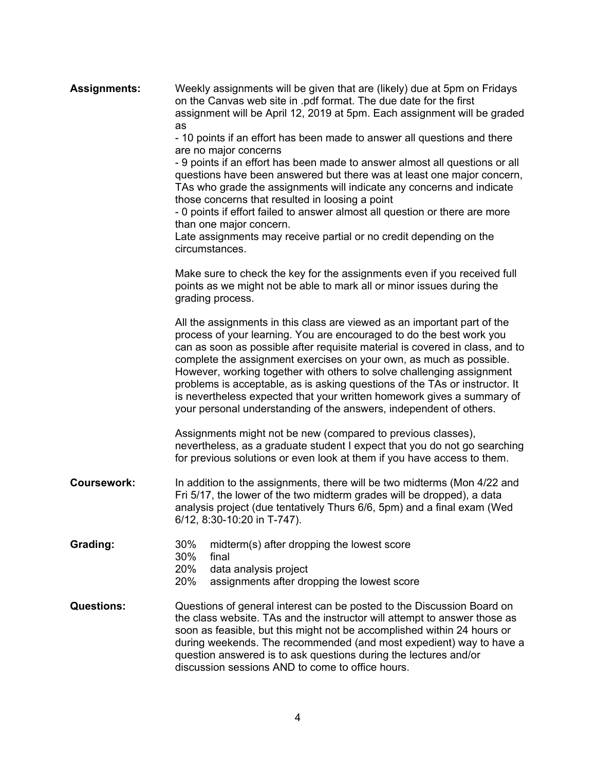| <b>Assignments:</b> | Weekly assignments will be given that are (likely) due at 5pm on Fridays<br>on the Canvas web site in .pdf format. The due date for the first<br>assignment will be April 12, 2019 at 5pm. Each assignment will be graded<br>as<br>- 10 points if an effort has been made to answer all questions and there<br>are no major concerns<br>- 9 points if an effort has been made to answer almost all questions or all<br>questions have been answered but there was at least one major concern,<br>TAs who grade the assignments will indicate any concerns and indicate<br>those concerns that resulted in loosing a point<br>- 0 points if effort failed to answer almost all question or there are more<br>than one major concern.<br>Late assignments may receive partial or no credit depending on the<br>circumstances. |
|---------------------|-----------------------------------------------------------------------------------------------------------------------------------------------------------------------------------------------------------------------------------------------------------------------------------------------------------------------------------------------------------------------------------------------------------------------------------------------------------------------------------------------------------------------------------------------------------------------------------------------------------------------------------------------------------------------------------------------------------------------------------------------------------------------------------------------------------------------------|
|                     | Make sure to check the key for the assignments even if you received full<br>points as we might not be able to mark all or minor issues during the<br>grading process.                                                                                                                                                                                                                                                                                                                                                                                                                                                                                                                                                                                                                                                       |
|                     | All the assignments in this class are viewed as an important part of the<br>process of your learning. You are encouraged to do the best work you<br>can as soon as possible after requisite material is covered in class, and to<br>complete the assignment exercises on your own, as much as possible.<br>However, working together with others to solve challenging assignment<br>problems is acceptable, as is asking questions of the TAs or instructor. It<br>is nevertheless expected that your written homework gives a summary of<br>your personal understanding of the answers, independent of others.                                                                                                                                                                                                             |
|                     | Assignments might not be new (compared to previous classes),<br>nevertheless, as a graduate student I expect that you do not go searching<br>for previous solutions or even look at them if you have access to them.                                                                                                                                                                                                                                                                                                                                                                                                                                                                                                                                                                                                        |
| <b>Coursework:</b>  | In addition to the assignments, there will be two midterms (Mon 4/22 and<br>Fri 5/17, the lower of the two midterm grades will be dropped), a data<br>analysis project (due tentatively Thurs 6/6, 5pm) and a final exam (Wed<br>6/12, 8:30-10:20 in T-747).                                                                                                                                                                                                                                                                                                                                                                                                                                                                                                                                                                |
| Grading:            | 30%<br>midterm(s) after dropping the lowest score<br>30%<br>final<br>20%<br>data analysis project<br>20%<br>assignments after dropping the lowest score                                                                                                                                                                                                                                                                                                                                                                                                                                                                                                                                                                                                                                                                     |
| <b>Questions:</b>   | Questions of general interest can be posted to the Discussion Board on<br>the class website. TAs and the instructor will attempt to answer those as<br>soon as feasible, but this might not be accomplished within 24 hours or<br>during weekends. The recommended (and most expedient) way to have a<br>question answered is to ask questions during the lectures and/or<br>discussion sessions AND to come to office hours.                                                                                                                                                                                                                                                                                                                                                                                               |